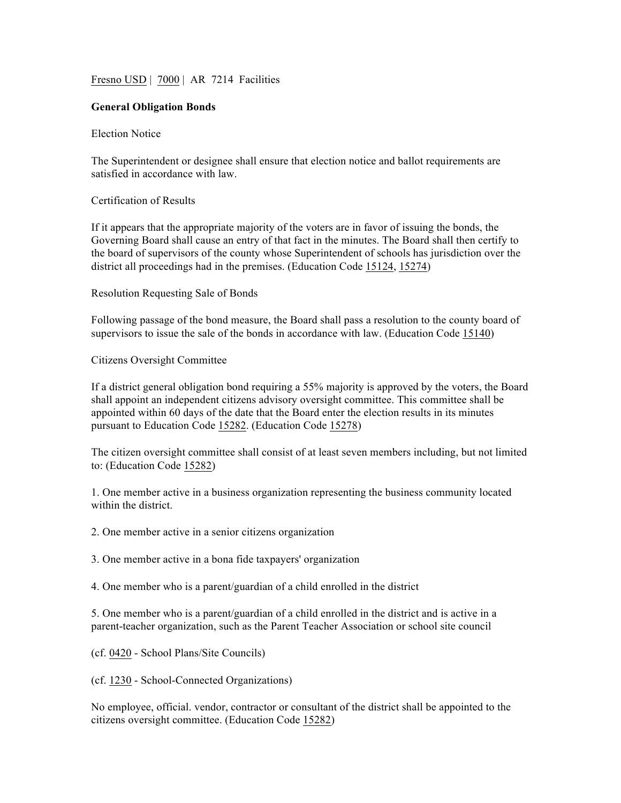Fresno USD | 7000 | AR 7214 Facilities

## **General Obligation Bonds**

## Election Notice

The Superintendent or designee shall ensure that election notice and ballot requirements are satisfied in accordance with law.

## Certification of Results

If it appears that the appropriate majority of the voters are in favor of issuing the bonds, the Governing Board shall cause an entry of that fact in the minutes. The Board shall then certify to the board of supervisors of the county whose Superintendent of schools has jurisdiction over the district all proceedings had in the premises. (Education Code 15124, 15274)

Resolution Requesting Sale of Bonds

Following passage of the bond measure, the Board shall pass a resolution to the county board of supervisors to issue the sale of the bonds in accordance with law. (Education Code 15140)

## Citizens Oversight Committee

If a district general obligation bond requiring a 55% majority is approved by the voters, the Board shall appoint an independent citizens advisory oversight committee. This committee shall be appointed within 60 days of the date that the Board enter the election results in its minutes pursuant to Education Code 15282. (Education Code 15278)

The citizen oversight committee shall consist of at least seven members including, but not limited to: (Education Code 15282)

1. One member active in a business organization representing the business community located within the district.

2. One member active in a senior citizens organization

3. One member active in a bona fide taxpayers' organization

4. One member who is a parent/guardian of a child enrolled in the district

5. One member who is a parent/guardian of a child enrolled in the district and is active in a parent-teacher organization, such as the Parent Teacher Association or school site council

(cf. 0420 - School Plans/Site Councils)

(cf. 1230 - School-Connected Organizations)

No employee, official. vendor, contractor or consultant of the district shall be appointed to the citizens oversight committee. (Education Code 15282)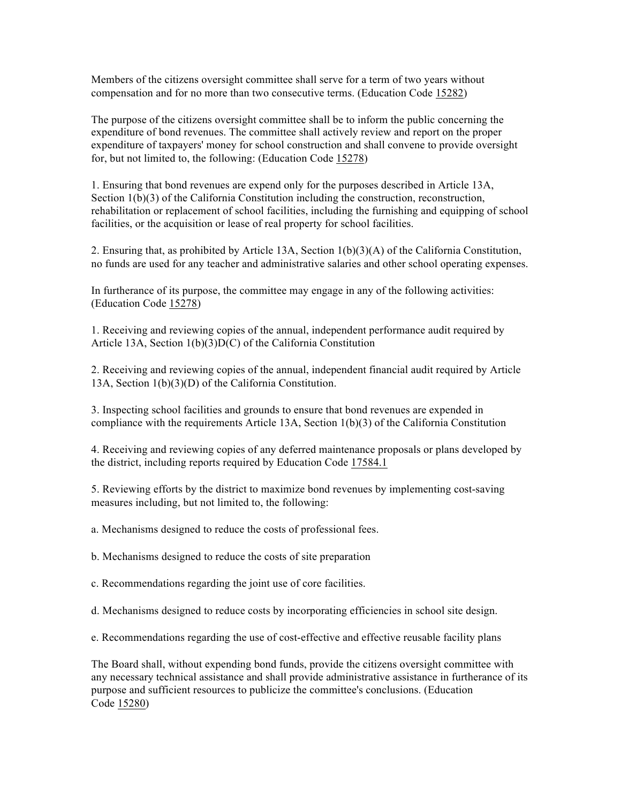Members of the citizens oversight committee shall serve for a term of two years without compensation and for no more than two consecutive terms. (Education Code 15282)

The purpose of the citizens oversight committee shall be to inform the public concerning the expenditure of bond revenues. The committee shall actively review and report on the proper expenditure of taxpayers' money for school construction and shall convene to provide oversight for, but not limited to, the following: (Education Code 15278)

1. Ensuring that bond revenues are expend only for the purposes described in Article 13A, Section 1(b)(3) of the California Constitution including the construction, reconstruction, rehabilitation or replacement of school facilities, including the furnishing and equipping of school facilities, or the acquisition or lease of real property for school facilities.

2. Ensuring that, as prohibited by Article 13A, Section 1(b)(3)(A) of the California Constitution, no funds are used for any teacher and administrative salaries and other school operating expenses.

In furtherance of its purpose, the committee may engage in any of the following activities: (Education Code 15278)

1. Receiving and reviewing copies of the annual, independent performance audit required by Article 13A, Section 1(b)(3)D(C) of the California Constitution

2. Receiving and reviewing copies of the annual, independent financial audit required by Article 13A, Section 1(b)(3)(D) of the California Constitution.

3. Inspecting school facilities and grounds to ensure that bond revenues are expended in compliance with the requirements Article 13A, Section 1(b)(3) of the California Constitution

4. Receiving and reviewing copies of any deferred maintenance proposals or plans developed by the district, including reports required by Education Code 17584.1

5. Reviewing efforts by the district to maximize bond revenues by implementing cost-saving measures including, but not limited to, the following:

a. Mechanisms designed to reduce the costs of professional fees.

b. Mechanisms designed to reduce the costs of site preparation

c. Recommendations regarding the joint use of core facilities.

d. Mechanisms designed to reduce costs by incorporating efficiencies in school site design.

e. Recommendations regarding the use of cost-effective and effective reusable facility plans

The Board shall, without expending bond funds, provide the citizens oversight committee with any necessary technical assistance and shall provide administrative assistance in furtherance of its purpose and sufficient resources to publicize the committee's conclusions. (Education Code 15280)